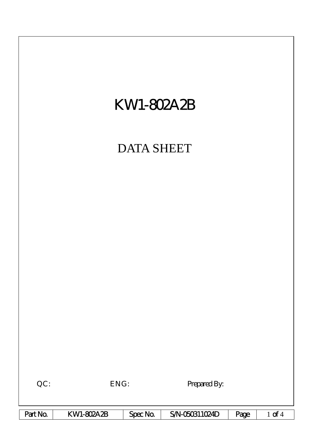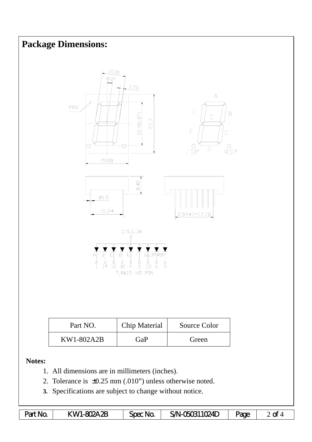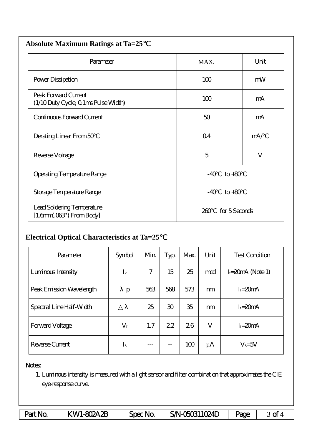| <b>Absolute Maximum Ratings at Ta=25</b>                     |                      |              |  |  |  |  |  |
|--------------------------------------------------------------|----------------------|--------------|--|--|--|--|--|
| Parameter                                                    | MAX.                 | Unit         |  |  |  |  |  |
| Power Dissipation                                            | 100                  | mW           |  |  |  |  |  |
| Peak Forward Current<br>(1/10 Duty Cycle, 0 1ms Pulse Width) | 100                  | mA           |  |  |  |  |  |
| Continuous Forward Current                                   | 50                   | mA           |  |  |  |  |  |
| Derating Linear From 50                                      | Q <sub>4</sub>       | mA/          |  |  |  |  |  |
| Reverse Voltage                                              | 5                    | $\mathbf{V}$ |  |  |  |  |  |
| Operating Temperature Range                                  | $-40$<br>$to +80$    |              |  |  |  |  |  |
| Storage Temperature Range                                    | $-40$<br>$to+80$     |              |  |  |  |  |  |
| Lead Soldering Temperature<br>$[1.6mm.03$ ") From Body       | for 5 Seconds<br>260 |              |  |  |  |  |  |

## **Electrical Optical Characteristics at Ta=25**℃

| Parameter                | Symbol      | Min | Typ            | Max. | Unit    | <b>Test Condition</b> |  |
|--------------------------|-------------|-----|----------------|------|---------|-----------------------|--|
| Luninous Intensity       | $I_{v}$     | 7   | 15             | 25   | md      | $I = 20mA$ (Note 1)   |  |
| Peak Emission Wavelength | p           | 563 | 568            | 573  | m       | $I = 20mA$            |  |
| Spectral Line Half-Width |             | 25  | $\mathfrak{D}$ | 35   | m       | $I = 20mA$            |  |
| <b>Forward Voltage</b>   | $V_{\rm f}$ | 1.7 | 22             | 26   | V       | $I = 20mA$            |  |
| Reverse Current          | $I_{\rm R}$ |     | --             | 100  | $\mu$ A | $V_R = 5V$            |  |

## Notes:

1. Luminous intensity is measured with a light sensor and filter combination that approximates the CIE eye-response curve.

| Part No. | KWI-802A2B | Spec Na | S/N-050311024D | <b>age</b> | гŧ<br>∽ |
|----------|------------|---------|----------------|------------|---------|
|----------|------------|---------|----------------|------------|---------|